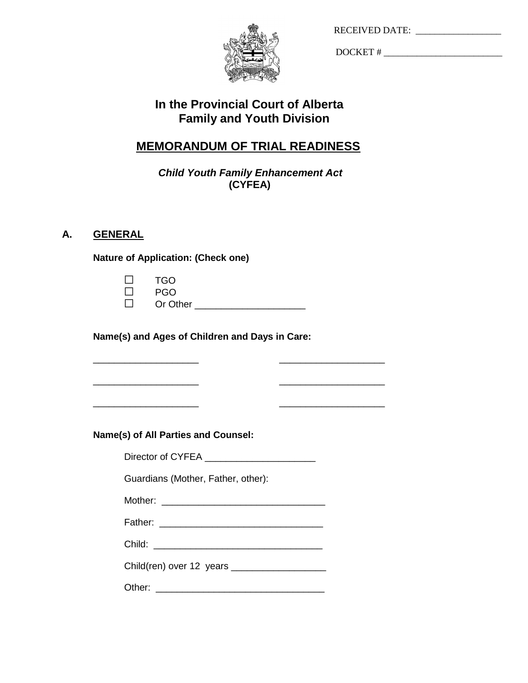| <b>RECEIVED DATE:</b> |  |
|-----------------------|--|
|-----------------------|--|



DOCKET # \_\_\_\_\_\_\_\_\_\_\_\_\_\_\_\_\_\_\_\_\_\_\_\_\_

# **In the Provincial Court of Alberta Family and Youth Division**

# **MEMORANDUM OF TRIAL READINESS**

*Child Youth Family Enhancement Act*  **(CYFEA)**

## **A. GENERAL**

**Nature of Application: (Check one)**

| $\Box$ | <b>TGO</b> |
|--------|------------|
| $\Box$ | <b>PGO</b> |
| $\Box$ | Or Other   |

\_\_\_\_\_\_\_\_\_\_\_\_\_\_\_\_\_\_\_\_ \_\_\_\_\_\_\_\_\_\_\_\_\_\_\_\_\_\_\_\_

\_\_\_\_\_\_\_\_\_\_\_\_\_\_\_\_\_\_\_\_ \_\_\_\_\_\_\_\_\_\_\_\_\_\_\_\_\_\_\_\_

\_\_\_\_\_\_\_\_\_\_\_\_\_\_\_\_\_\_\_\_ \_\_\_\_\_\_\_\_\_\_\_\_\_\_\_\_\_\_\_\_

**Name(s) and Ages of Children and Days in Care:**

**Name(s) of All Parties and Counsel:**

Director of CYFEA \_\_\_\_\_\_\_\_\_\_\_\_\_\_\_\_\_\_\_\_\_

Guardians (Mother, Father, other):

Mother: \_\_\_\_\_\_\_\_\_\_\_\_\_\_\_\_\_\_\_\_\_\_\_\_\_\_\_\_\_\_\_

Father: \_\_\_\_\_\_\_\_\_\_\_\_\_\_\_\_\_\_\_\_\_\_\_\_\_\_\_\_\_\_\_

Child: \_\_\_\_\_\_\_\_\_\_\_\_\_\_\_\_\_\_\_\_\_\_\_\_\_\_\_\_\_\_\_\_

Child(ren) over 12 years

Other: \_\_\_\_\_\_\_\_\_\_\_\_\_\_\_\_\_\_\_\_\_\_\_\_\_\_\_\_\_\_\_\_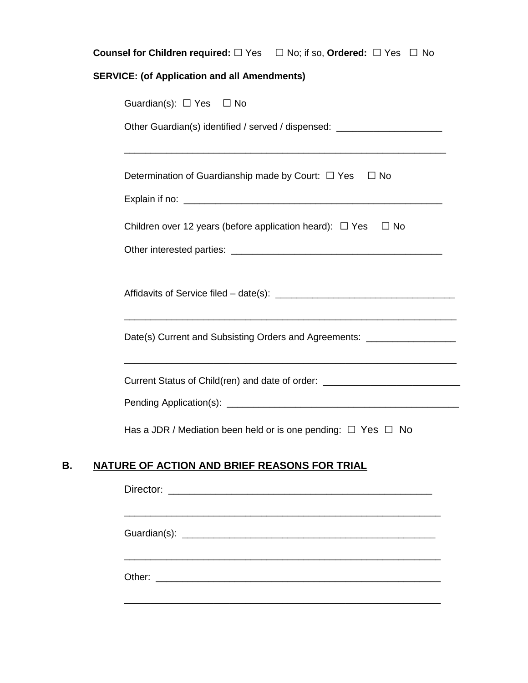|                                                                         | <b>Counsel for Children required:</b> $\Box$ Yes $\Box$ No; if so, Ordered: $\Box$ Yes $\Box$ No |  |  |  |
|-------------------------------------------------------------------------|--------------------------------------------------------------------------------------------------|--|--|--|
|                                                                         | <b>SERVICE: (of Application and all Amendments)</b>                                              |  |  |  |
|                                                                         | Guardian(s): $\Box$ Yes $\Box$ No                                                                |  |  |  |
|                                                                         | Other Guardian(s) identified / served / dispensed: _____________________________                 |  |  |  |
|                                                                         |                                                                                                  |  |  |  |
|                                                                         | Determination of Guardianship made by Court: $\Box$ Yes $\Box$ No                                |  |  |  |
|                                                                         |                                                                                                  |  |  |  |
| Children over 12 years (before application heard): $\Box$ Yes $\Box$ No |                                                                                                  |  |  |  |
|                                                                         |                                                                                                  |  |  |  |
|                                                                         |                                                                                                  |  |  |  |
|                                                                         | Date(s) Current and Subsisting Orders and Agreements: ____________________                       |  |  |  |
|                                                                         | Current Status of Child(ren) and date of order: ________________________________                 |  |  |  |
|                                                                         |                                                                                                  |  |  |  |
|                                                                         | Has a JDR / Mediation been held or is one pending: $\Box$ Yes $\Box$ No                          |  |  |  |
|                                                                         | NATURE OF ACTION AND BRIEF REASONS FOR TRIAL                                                     |  |  |  |
|                                                                         |                                                                                                  |  |  |  |
|                                                                         |                                                                                                  |  |  |  |
|                                                                         |                                                                                                  |  |  |  |
|                                                                         |                                                                                                  |  |  |  |

\_\_\_\_\_\_\_\_\_\_\_\_\_\_\_\_\_\_\_\_\_\_\_\_\_\_\_\_\_\_\_\_\_\_\_\_\_\_\_\_\_\_\_\_\_\_\_\_\_\_\_\_\_\_\_\_\_\_\_\_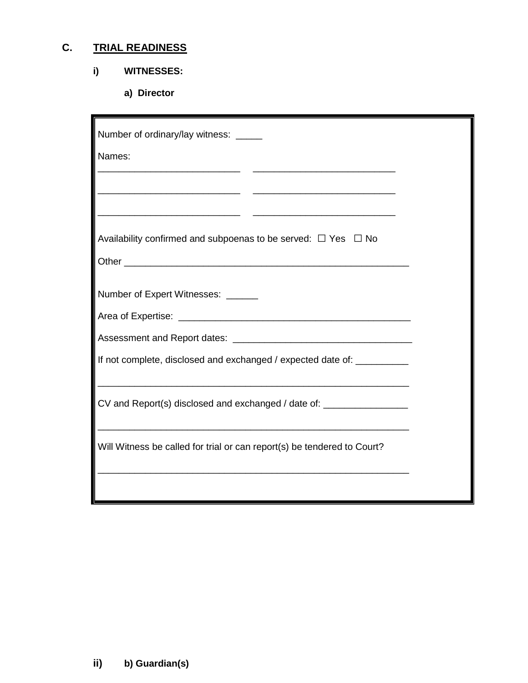# **C. TRIAL READINESS**

# **i) WITNESSES:**

**a) Director**

| Number of ordinary/lay witness: _____                                                                                                                            |  |
|------------------------------------------------------------------------------------------------------------------------------------------------------------------|--|
| Names:                                                                                                                                                           |  |
|                                                                                                                                                                  |  |
| <u> 1989 - Johann Barbara, martxa alemaniar amerikan basar da a</u><br>the control of the control of the control of the control of the control of the control of |  |
| Availability confirmed and subpoenas to be served: $\Box$ Yes $\Box$ No                                                                                          |  |
|                                                                                                                                                                  |  |
| Number of Expert Witnesses: ______                                                                                                                               |  |
|                                                                                                                                                                  |  |
|                                                                                                                                                                  |  |
| If not complete, disclosed and exchanged / expected date of:                                                                                                     |  |
| CV and Report(s) disclosed and exchanged / date of: ___________________<br><u> 1989 - Johann Stoff, amerikansk politiker (d. 1989)</u>                           |  |
| Will Witness be called for trial or can report(s) be tendered to Court?                                                                                          |  |
|                                                                                                                                                                  |  |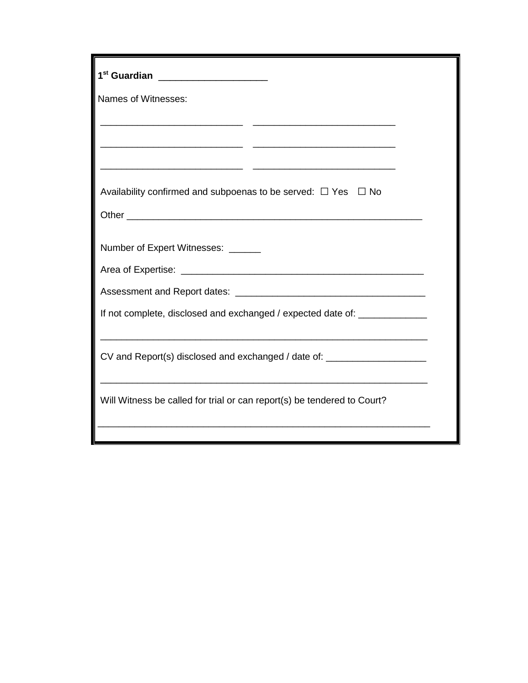| 1 <sup>st</sup> Guardian _____________________                                   |  |  |  |
|----------------------------------------------------------------------------------|--|--|--|
| Names of Witnesses:                                                              |  |  |  |
|                                                                                  |  |  |  |
|                                                                                  |  |  |  |
|                                                                                  |  |  |  |
| Availability confirmed and subpoenas to be served: $\Box$ Yes $\Box$ No          |  |  |  |
|                                                                                  |  |  |  |
| Number of Expert Witnesses: ______                                               |  |  |  |
|                                                                                  |  |  |  |
|                                                                                  |  |  |  |
| If not complete, disclosed and exchanged / expected date of: ___________________ |  |  |  |
|                                                                                  |  |  |  |
| CV and Report(s) disclosed and exchanged / date of: ____________________________ |  |  |  |
|                                                                                  |  |  |  |
| Will Witness be called for trial or can report(s) be tendered to Court?          |  |  |  |
|                                                                                  |  |  |  |
|                                                                                  |  |  |  |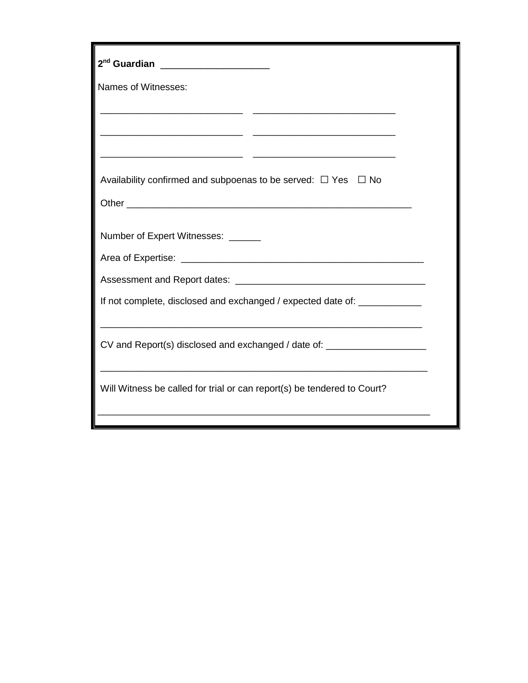| 2 <sup>nd</sup> Guardian ___________________                                     |  |  |  |
|----------------------------------------------------------------------------------|--|--|--|
| Names of Witnesses:                                                              |  |  |  |
|                                                                                  |  |  |  |
|                                                                                  |  |  |  |
|                                                                                  |  |  |  |
| Availability confirmed and subpoenas to be served: $\Box$ Yes $\Box$ No          |  |  |  |
|                                                                                  |  |  |  |
| Number of Expert Witnesses: ______                                               |  |  |  |
|                                                                                  |  |  |  |
|                                                                                  |  |  |  |
| If not complete, disclosed and exchanged / expected date of: _____________       |  |  |  |
|                                                                                  |  |  |  |
| CV and Report(s) disclosed and exchanged / date of: ____________________________ |  |  |  |
|                                                                                  |  |  |  |
| Will Witness be called for trial or can report(s) be tendered to Court?          |  |  |  |
|                                                                                  |  |  |  |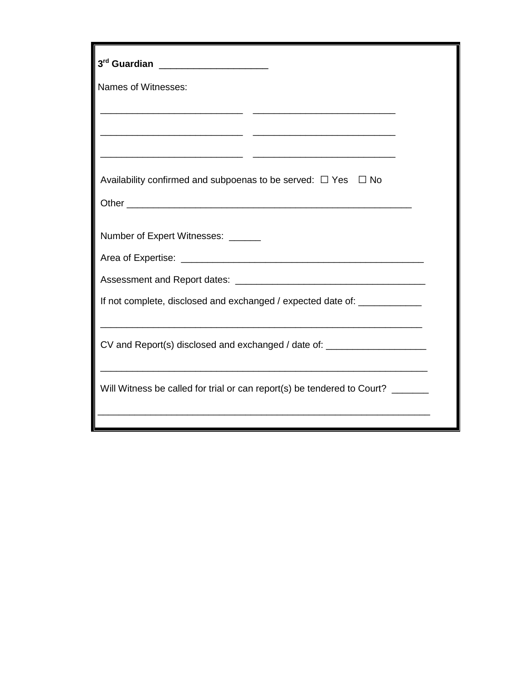| 3 <sup>rd</sup> Guardian _____________________                                                                      |
|---------------------------------------------------------------------------------------------------------------------|
| Names of Witnesses:                                                                                                 |
|                                                                                                                     |
|                                                                                                                     |
| <u> 1989 - Johann Stein, markin sanadi masjid ayyında bir alan sanadi yazar yazar yazar yazar yazar yazar yazar</u> |
| Availability confirmed and subpoenas to be served: $\Box$ Yes $\Box$ No                                             |
|                                                                                                                     |
| Number of Expert Witnesses: ______                                                                                  |
|                                                                                                                     |
|                                                                                                                     |
| If not complete, disclosed and exchanged / expected date of: _____________                                          |
|                                                                                                                     |
| CV and Report(s) disclosed and exchanged / date of: ____________________________                                    |
|                                                                                                                     |
| Will Witness be called for trial or can report(s) be tendered to Court? _______                                     |
|                                                                                                                     |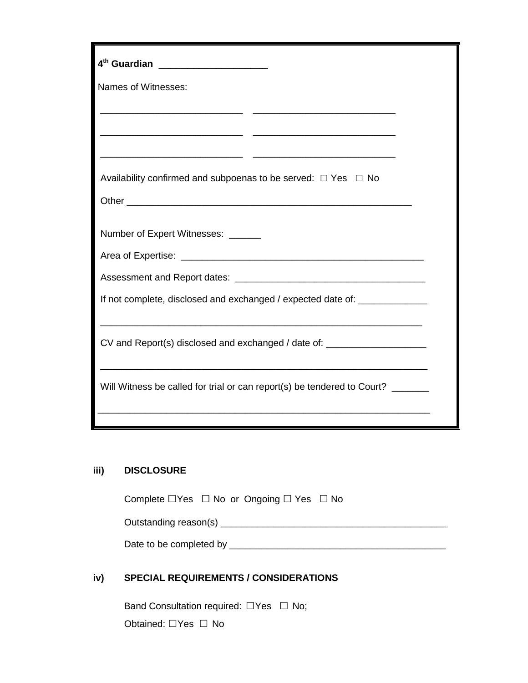| 4 <sup>th</sup> Guardian _____________________                             |  |  |  |
|----------------------------------------------------------------------------|--|--|--|
| Names of Witnesses:                                                        |  |  |  |
|                                                                            |  |  |  |
|                                                                            |  |  |  |
| <u> 1989 - Jan Stein Stein, fransk politik (d. 1989)</u>                   |  |  |  |
| Availability confirmed and subpoenas to be served: $\Box$ Yes $\Box$ No    |  |  |  |
|                                                                            |  |  |  |
|                                                                            |  |  |  |
| Number of Expert Witnesses: ______                                         |  |  |  |
|                                                                            |  |  |  |
|                                                                            |  |  |  |
| If not complete, disclosed and exchanged / expected date of: _____________ |  |  |  |
|                                                                            |  |  |  |
| CV and Report(s) disclosed and exchanged / date of:                        |  |  |  |
|                                                                            |  |  |  |
| Will Witness be called for trial or can report(s) be tendered to Court?    |  |  |  |
|                                                                            |  |  |  |
|                                                                            |  |  |  |

## **iii) DISCLOSURE**

| Complete $\Box$ Yes $\Box$ No or Ongoing $\Box$ Yes $\Box$ No |  |  |
|---------------------------------------------------------------|--|--|

Outstanding reason(s) \_\_\_\_\_\_\_\_\_\_\_\_\_\_\_\_\_\_\_\_\_\_\_\_\_\_\_\_\_\_\_\_\_\_\_\_\_\_\_\_\_\_\_

Date to be completed by \_\_\_\_\_\_\_\_\_\_\_\_\_\_\_\_\_\_\_\_\_\_\_\_\_\_\_\_\_\_\_\_\_\_\_\_\_\_\_\_\_

## **iv) SPECIAL REQUIREMENTS / CONSIDERATIONS**

Band Consultation required: □Yes □ No; Obtained: □Yes □ No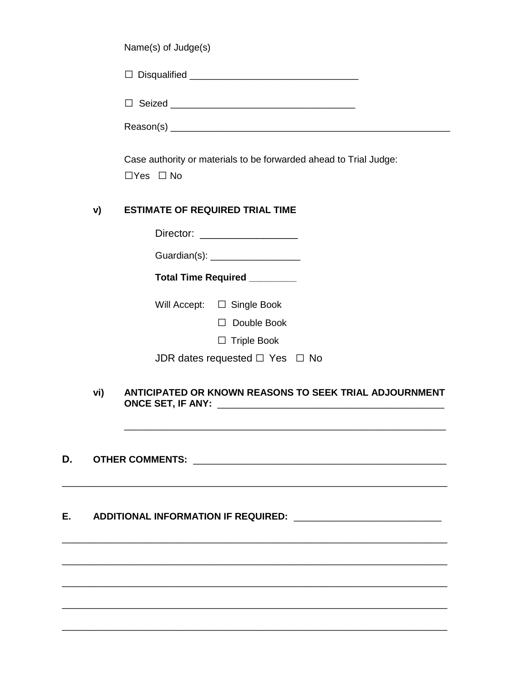Case authority or materials to be forwarded ahead to Trial Judge:  $\Box$ Yes  $\Box$  No

#### **ESTIMATE OF REQUIRED TRIAL TIME** v)

Director: **Example 2019** 

Guardian(s): \_\_\_\_\_\_\_\_\_\_\_\_\_\_\_\_\_\_\_\_\_

Total Time Required \_\_\_\_\_\_\_\_

Will Accept:  $\Box$  Single Book

□ Double Book

 $\Box$  Triple Book

| JDR dates requested $\Box$ Yes $\Box$ No |  |  |
|------------------------------------------|--|--|
|------------------------------------------|--|--|

## vi) ANTICIPATED OR KNOWN REASONS TO SEEK TRIAL ADJOURNMENT

### D.

#### E. ADDITIONAL INFORMATION IF REQUIRED: \_\_\_\_\_\_\_\_\_\_\_\_\_\_\_\_\_\_\_\_\_\_\_\_\_\_\_\_\_\_\_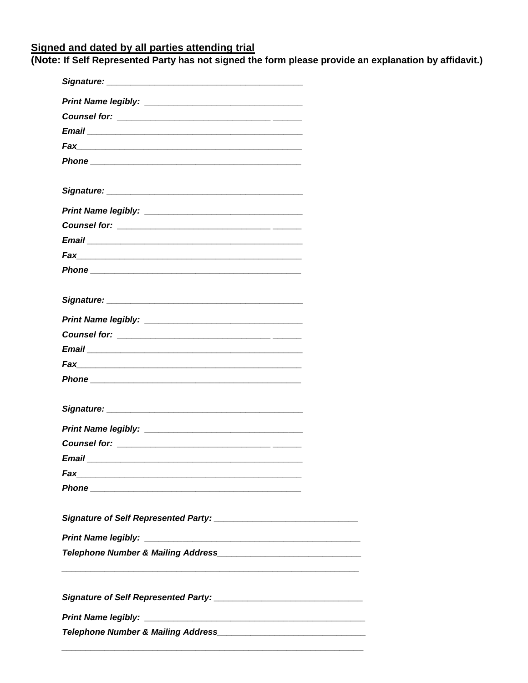Signed and dated by all parties attending trial<br>(Note: If Self Represented Party has not signed the form please provide an explanation by affidavit.)

 $\frac{1}{2}$ 

<u> The Common Service</u>

 $\overline{\phantom{a}}$ 

 $\mathcal{L} = \mathcal{L} \mathcal{L}$ 

L. ÷,

-

 $\overline{\phantom{0}}$ 

| Phone experience and the contract of the contract of the contract of the contract of the contract of the contract of the contract of the contract of the contract of the contract of the contract of the contract of the contr |  |
|--------------------------------------------------------------------------------------------------------------------------------------------------------------------------------------------------------------------------------|--|
|                                                                                                                                                                                                                                |  |
|                                                                                                                                                                                                                                |  |
|                                                                                                                                                                                                                                |  |
|                                                                                                                                                                                                                                |  |
|                                                                                                                                                                                                                                |  |
| Fax<br><u> 1989 - Johann John Stone, mars and de final and de final and de final and de final and de final and de final</u>                                                                                                    |  |
|                                                                                                                                                                                                                                |  |
|                                                                                                                                                                                                                                |  |
|                                                                                                                                                                                                                                |  |
|                                                                                                                                                                                                                                |  |
|                                                                                                                                                                                                                                |  |
|                                                                                                                                                                                                                                |  |
|                                                                                                                                                                                                                                |  |
|                                                                                                                                                                                                                                |  |
|                                                                                                                                                                                                                                |  |
|                                                                                                                                                                                                                                |  |
|                                                                                                                                                                                                                                |  |
|                                                                                                                                                                                                                                |  |
| Email                                                                                                                                                                                                                          |  |
|                                                                                                                                                                                                                                |  |
|                                                                                                                                                                                                                                |  |
|                                                                                                                                                                                                                                |  |
|                                                                                                                                                                                                                                |  |
|                                                                                                                                                                                                                                |  |
|                                                                                                                                                                                                                                |  |
|                                                                                                                                                                                                                                |  |
|                                                                                                                                                                                                                                |  |
|                                                                                                                                                                                                                                |  |
|                                                                                                                                                                                                                                |  |
|                                                                                                                                                                                                                                |  |